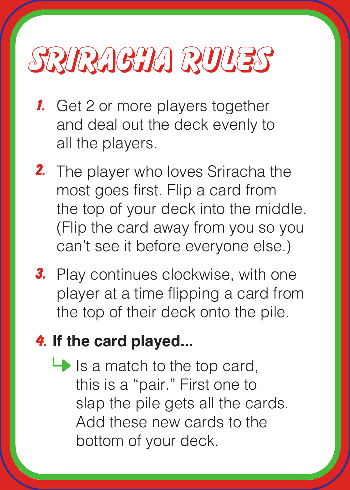## sriracha Rules

- **1.** Get 2 or more players together and deal out the deck evenly to all the players.
- 2. The player who loves Sriracha the most goes first. Flip a card from the top of your deck into the middle. (Flip the card away from you so you can't see it before everyone else.)
- 3. Play continues clockwise, with one player at a time flipping a card from the top of their deck onto the pile.

## 4. **If the card played...**

 $\rightarrow$  Is a match to the top card, this is a "pair." First one to slap the pile gets all the cards. Add these new cards to the bottom of your deck.